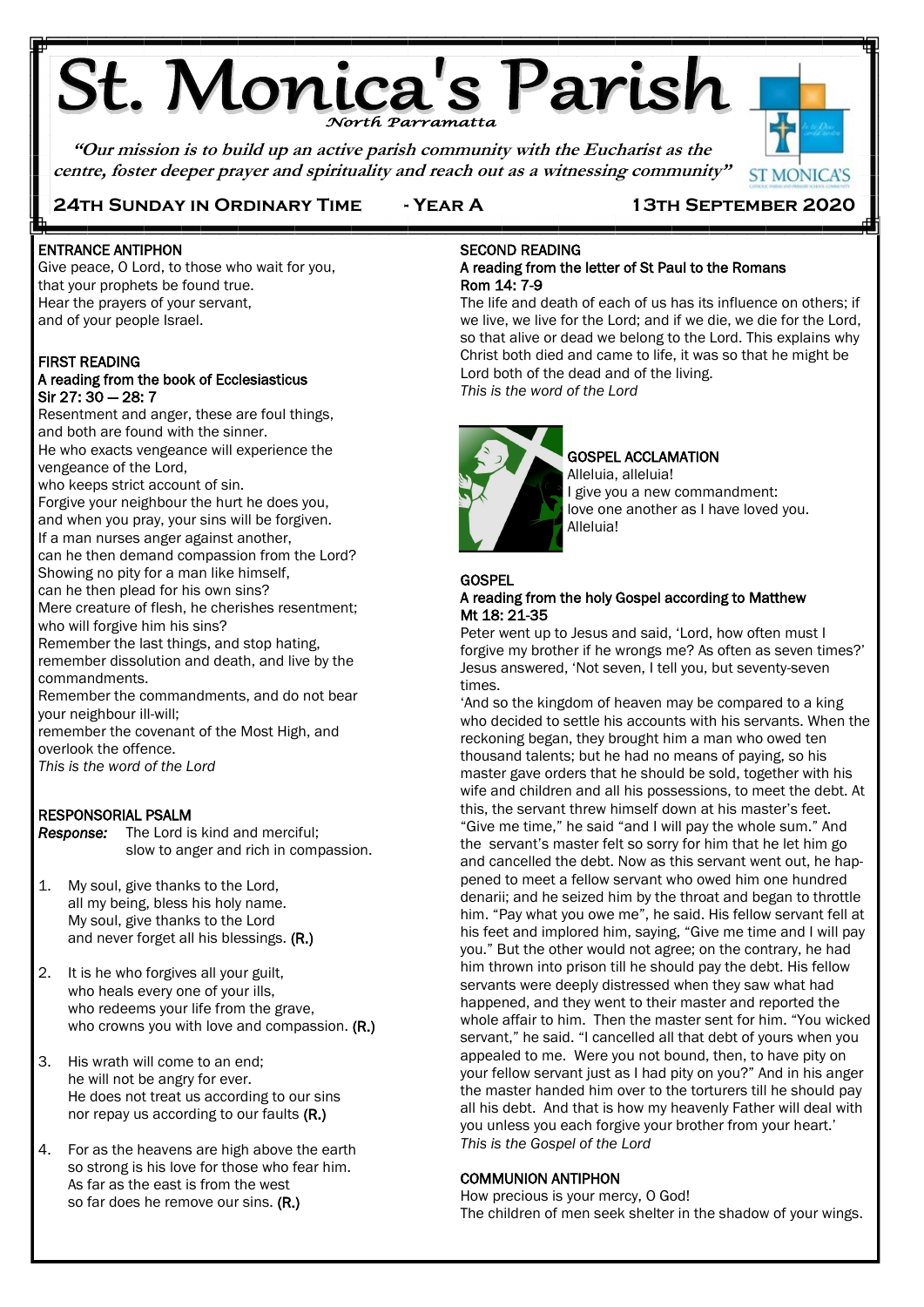# **St. Monica's Parish**

**"Our mission is to build up an active parish community with the Eucharist as the centre, foster deeper prayer and spirituality and reach out as a witnessing community"**



**ST MONICA'S** 

#### ī ENTRANCE ANTIPHON

Ë

Give peace, O Lord, to those who wait for you, that your prophets be found true. Hear the prayers of your servant, and of your people Israel.

#### FIRST READING A reading from the book of Ecclesiasticus Sir 27: 30 — 28: 7

Resentment and anger, these are foul things, and both are found with the sinner. He who exacts vengeance will experience the vengeance of the Lord,

who keeps strict account of sin.

Forgive your neighbour the hurt he does you, and when you pray, your sins will be forgiven.

If a man nurses anger against another, can he then demand compassion from the Lord? Showing no pity for a man like himself,

can he then plead for his own sins? Mere creature of flesh, he cherishes resentment;

who will forgive him his sins? Remember the last things, and stop hating, remember dissolution and death, and live by the commandments.

Remember the commandments, and do not bear your neighbour ill-will;

remember the covenant of the Most High, and overlook the offence. *This is the word of the Lord*

#### RESPONSORIAL PSALM

j

*Response:* The Lord is kind and merciful; slow to anger and rich in compassion.

- 1. My soul, give thanks to the Lord, all my being, bless his holy name. My soul, give thanks to the Lord and never forget all his blessings. (R.)
- 2. It is he who forgives all your guilt, who heals every one of your ills, who redeems your life from the grave, who crowns you with love and compassion. (R.)
- 3. His wrath will come to an end; he will not be angry for ever. He does not treat us according to our sins nor repay us according to our faults (R.)
- 4. For as the heavens are high above the earth so strong is his love for those who fear him. As far as the east is from the west so far does he remove our sins. (R.)

#### SECOND READING A reading from the letter of St Paul to the Romans Rom 14: 7-9

The life and death of each of us has its influence on others; if we live, we live for the Lord; and if we die, we die for the Lord, so that alive or dead we belong to the Lord. This explains why Christ both died and came to life, it was so that he might be Lord both of the dead and of the living. *This is the word of the Lord*



## GOSPEL ACCLAMATION

Alleluia, alleluia! I give you a new commandment: love one another as I have loved you. Alleluia!

#### **GOSPEL** A reading from the holy Gospel according to Matthew Mt 18: 21-35

Peter went up to Jesus and said, 'Lord, how often must I forgive my brother if he wrongs me? As often as seven times?' Jesus answered, 'Not seven, I tell you, but seventy-seven times.

'And so the kingdom of heaven may be compared to a king who decided to settle his accounts with his servants. When the reckoning began, they brought him a man who owed ten thousand talents; but he had no means of paying, so his master gave orders that he should be sold, together with his wife and children and all his possessions, to meet the debt. At this, the servant threw himself down at his master's feet. "Give me time," he said "and I will pay the whole sum." And the servant's master felt so sorry for him that he let him go and cancelled the debt. Now as this servant went out, he happened to meet a fellow servant who owed him one hundred denarii; and he seized him by the throat and began to throttle him. "Pay what you owe me", he said. His fellow servant fell at his feet and implored him, saying, "Give me time and I will pay you." But the other would not agree; on the contrary, he had him thrown into prison till he should pay the debt. His fellow servants were deeply distressed when they saw what had happened, and they went to their master and reported the whole affair to him. Then the master sent for him. "You wicked servant," he said. "I cancelled all that debt of yours when you appealed to me. Were you not bound, then, to have pity on your fellow servant just as I had pity on you?" And in his anger the master handed him over to the torturers till he should pay all his debt. And that is how my heavenly Father will deal with you unless you each forgive your brother from your heart.' *This is the Gospel of the Lord*

#### COMMUNION ANTIPHON

How precious is your mercy, O God! The children of men seek shelter in the shadow of your wings.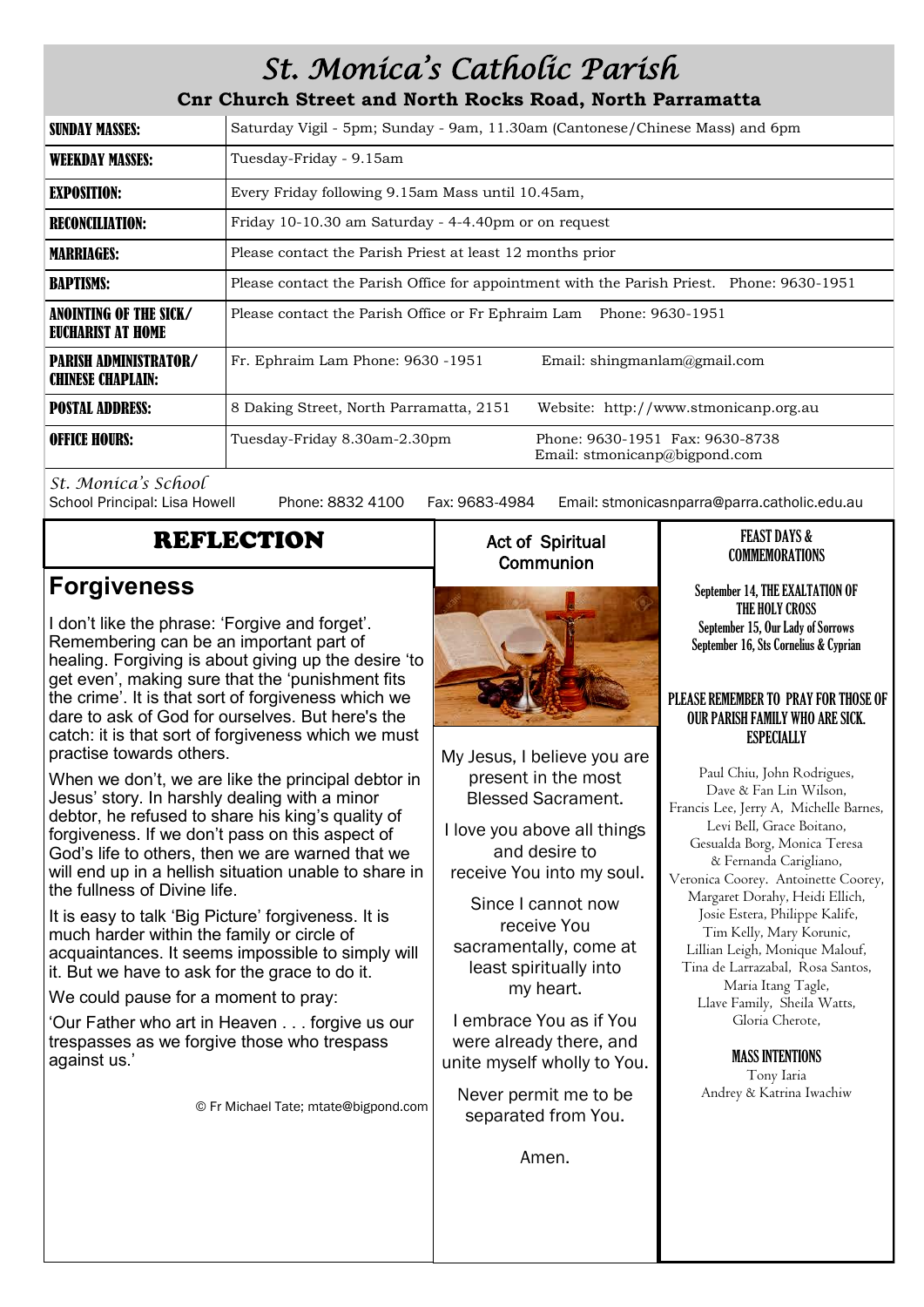## *St. Monica's Catholic Parish*

**Cnr Church Street and North Rocks Road, North Parramatta**

| <b>SUNDAY MASSES:</b>                                    | Saturday Vigil - 5pm; Sunday - 9am, 11.30am (Cantonese/Chinese Mass) and 6pm                     |
|----------------------------------------------------------|--------------------------------------------------------------------------------------------------|
| <b>WEEKDAY MASSES:</b>                                   | Tuesday-Friday - 9.15am                                                                          |
| <b>EXPOSITION:</b>                                       | Every Friday following 9.15am Mass until 10.45am,                                                |
| <b>RECONCILIATION:</b>                                   | Friday 10-10.30 am Saturday - 4-4.40pm or on request                                             |
| <b>MARRIAGES:</b>                                        | Please contact the Parish Priest at least 12 months prior                                        |
| <b>BAPTISMS:</b>                                         | Please contact the Parish Office for appointment with the Parish Priest. Phone: 9630-1951        |
| ANOINTING OF THE SICK/<br>EUCHARIST AT HOME              | Please contact the Parish Office or Fr Ephraim Lam Phone: 9630-1951                              |
| <b>PARISH ADMINISTRATOR/</b><br><b>CHINESE CHAPLAIN:</b> | Fr. Ephraim Lam Phone: 9630 -1951<br>Email: shingmanlam@gmail.com                                |
| <b>POSTAL ADDRESS:</b>                                   | 8 Daking Street, North Parramatta, 2151<br>Website: http://www.stmonicanp.org.au                 |
| <b>OFFICE HOURS:</b>                                     | Tuesday-Friday 8.30am-2.30pm<br>Phone: 9630-1951 Fax: 9630-8738<br>Email: stmonicanp@bigpond.com |

*St. Monica's School*

Phone: 8832 4100 Fax: 9683-4984 Email: stmonicasnparra@parra.catholic.edu.au

## REFLECTION

## **Forgiveness**

I don't like the phrase: 'Forgive and forget'. Remembering can be an important part of healing. Forgiving is about giving up the desire 'to get even', making sure that the 'punishment fits the crime'. It is that sort of forgiveness which we dare to ask of God for ourselves. But here's the catch: it is that sort of forgiveness which we must practise towards others.

When we don't, we are like the principal debtor in Jesus' story. In harshly dealing with a minor debtor, he refused to share his king's quality of forgiveness. If we don't pass on this aspect of God's life to others, then we are warned that we will end up in a hellish situation unable to share in the fullness of Divine life.

It is easy to talk 'Big Picture' forgiveness. It is much harder within the family or circle of acquaintances. It seems impossible to simply will it. But we have to ask for the grace to do it.

We could pause for a moment to pray:

'Our Father who art in Heaven . . . forgive us our trespasses as we forgive those who trespass against us.'

© Fr Michael Tate; mtate@bigpond.com

### Act of Spiritual **Communion**



My Jesus, I believe you are present in the most Blessed Sacrament.

I love you above all things and desire to receive You into my soul.

Since I cannot now receive You sacramentally, come at least spiritually into my heart.

I embrace You as if You were already there, and unite myself wholly to You.

Never permit me to be separated from You.

Amen.

#### FEAST DAYS & COMMEMORATIONS

September 14, THE EXALTATION OF THE HOLY CROSS September 15, Our Lady of Sorrows September 16, Sts Cornelius & Cyprian

#### PLEASE REMEMBER TO PRAY FOR THOSE OF OUR PARISH FAMILY WHO ARE SICK. **ESPECIALLY**

Paul Chiu, John Rodrigues, Dave & Fan Lin Wilson, Francis Lee, Jerry A, Michelle Barnes, Levi Bell, Grace Boitano, Gesualda Borg, Monica Teresa & Fernanda Carigliano, Veronica Coorey. Antoinette Coorey, Margaret Dorahy, Heidi Ellich, Josie Estera, Philippe Kalife, Tim Kelly, Mary Korunic, Lillian Leigh, Monique Malouf, Tina de Larrazabal, Rosa Santos, Maria Itang Tagle, Llave Family, Sheila Watts, Gloria Cherote,

> MASS INTENTIONS Tony Iaria Andrey & Katrina Iwachiw